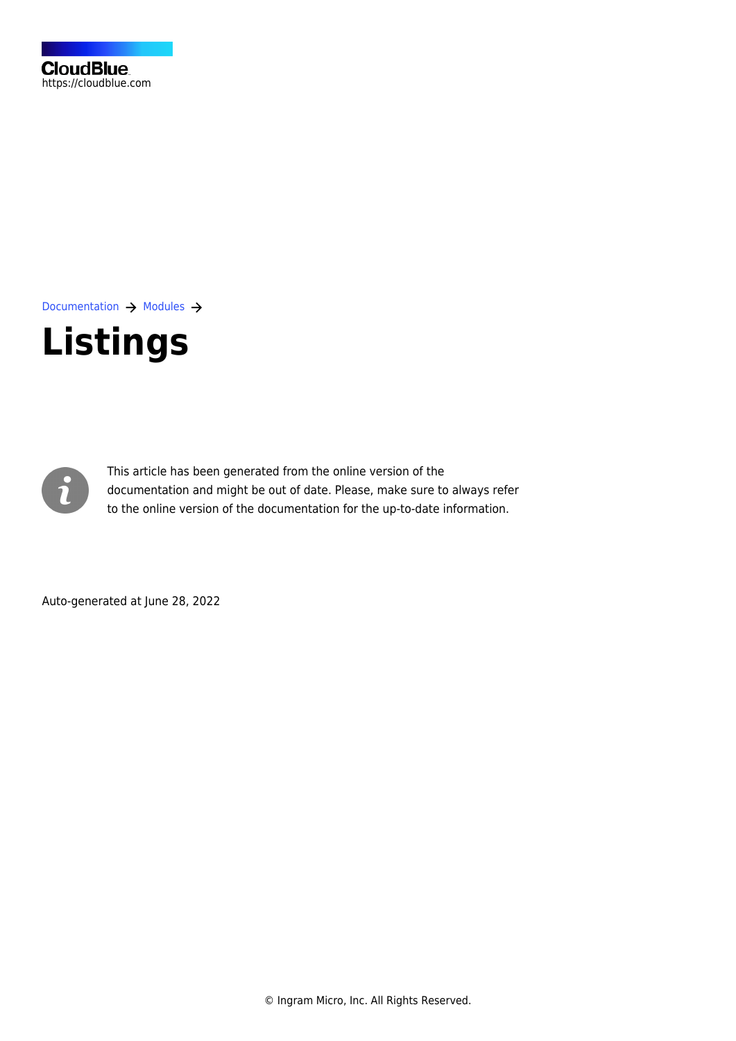[Documentation](https://connect.cloudblue.com/documentation)  $\rightarrow$  [Modules](https://connect.cloudblue.com/community/modules/)  $\rightarrow$ 

# **[Listings](https://connect.cloudblue.com/community/modules/listings/)**



This article has been generated from the online version of the documentation and might be out of date. Please, make sure to always refer to the online version of the documentation for the up-to-date information.

Auto-generated at June 28, 2022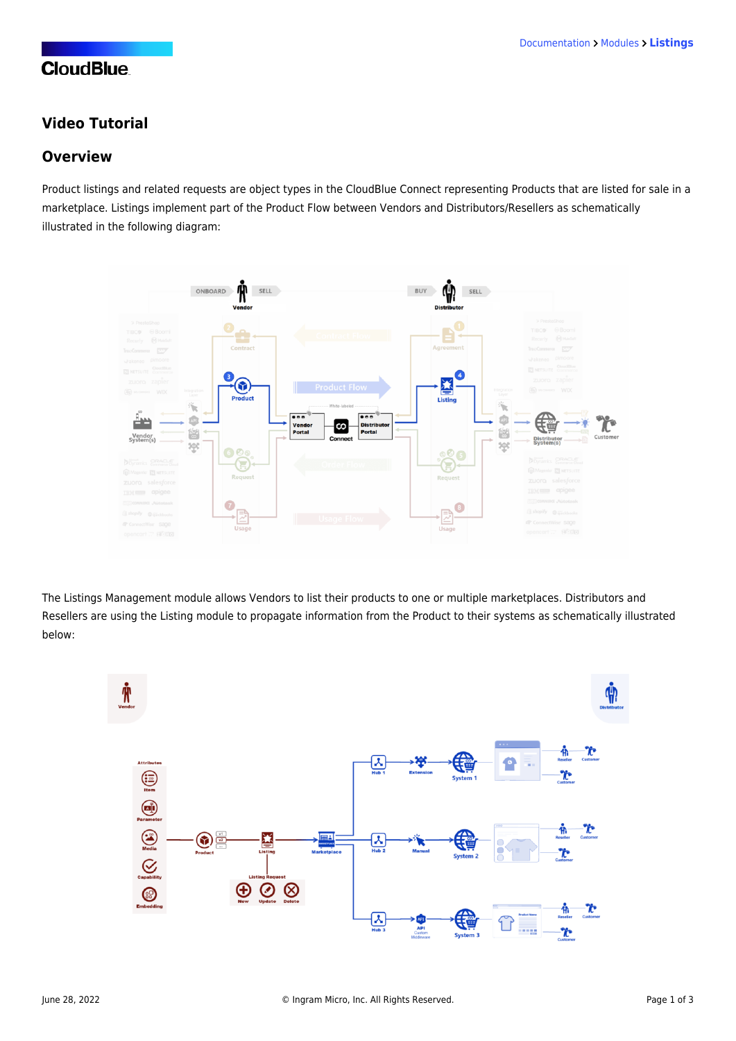# **CloudBlue**

## **Video Tutorial**

#### **Overview**

Product listings and related requests are object types in the CloudBlue Connect representing Products that are listed for sale in a marketplace. Listings implement part of the [Product Flow](https://connect.cloudblue.com/community/getting-started/#Business_Flows) between Vendors and Distributors/Resellers as schematically illustrated in the following diagram:



The Listings Management module allows Vendors to list their products to one or multiple marketplaces. Distributors and Resellers are using the Listing module to propagate information from the Product to their systems as schematically illustrated below:

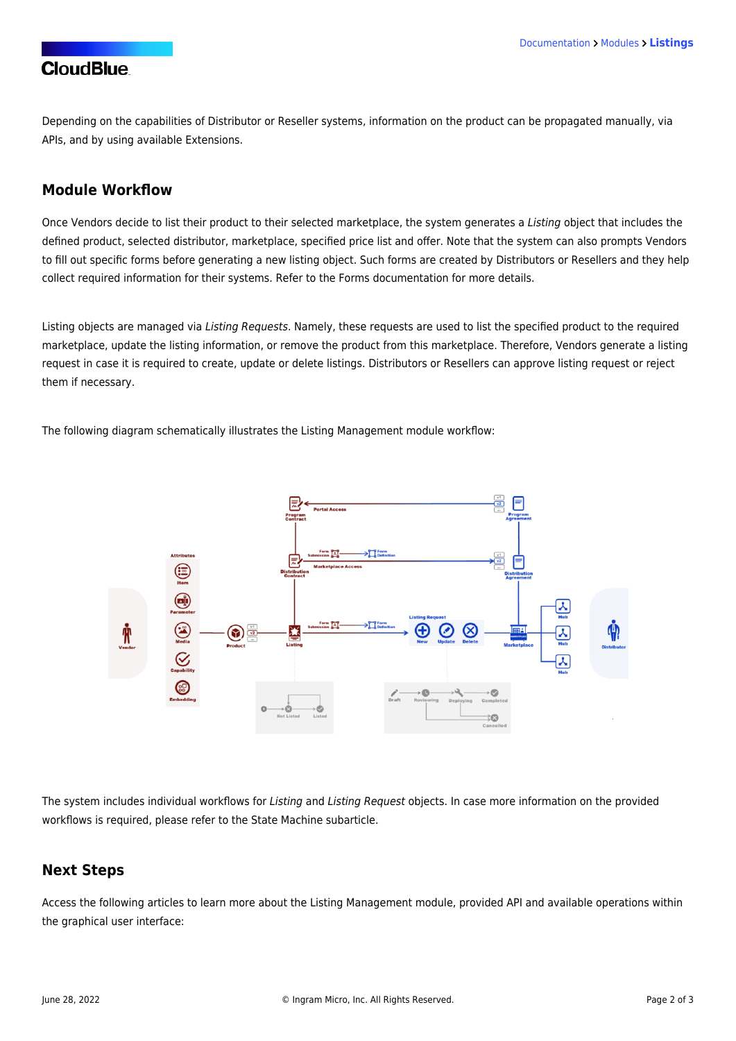## **CloudBlue**

Depending on the capabilities of Distributor or Reseller systems, information on the product can be propagated [manually](https://connect.cloudblue.com/community/modules/listings/user-interface/), via [APIs](https://connect.cloudblue.com/community/api/), and by using available [Extensions](https://connect.cloudblue.com/community/extensions/).

#### **Module Workflow**

Once Vendors decide to list their product to their selected marketplace, the system generates a Listing object that includes the defined [product](https://connect.cloudblue.com/community/modules/products/), selected distributor, marketplace, specified [price list](https://connect.cloudblue.com/community/modules/pricing/) and [offer](https://connect.cloudblue.com/community/modules/offers/). Note that the system can also prompts Vendors to fill out specific forms before generating a new listing object. Such forms are created by Distributors or Resellers and they help collect required information for their systems. Refer to the [Forms documentation](https://connect.cloudblue.com/community/modules/partners/forms/) for more details.

Listing objects are managed via Listing Requests. Namely, these requests are used to list the specified product to the required marketplace, update the listing information, or remove the product from this marketplace. Therefore, Vendors generate a listing request in case it is required to create, update or delete listings. Distributors or Resellers can approve listing request or reject them if necessary.

The following diagram schematically illustrates the Listing Management module workflow:



The system includes individual workflows for Listing and Listing Request objects. In case more information on the provided workflows is required, please refer to the [State Machine](https://connect.cloudblue.com/community/modules/listings/state-machine/) subarticle.

### **Next Steps**

Access the following articles to learn more about the Listing Management module, provided API and available operations within the graphical user interface: